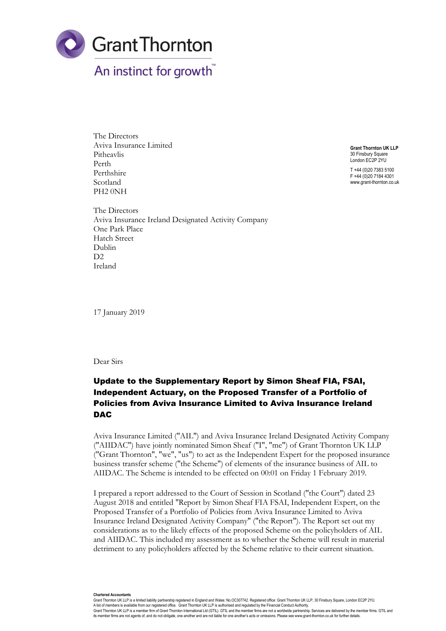

The Directors Aviva Insurance Limited Pitheavlis Perth Perthshire Scotland PH2 0NH

Grant Thornton UK LLP 30 Finsbury Square London EC2P 2YU

T +44 (0)20 7383 5100 F +44 (0)20 7184 4301 www.grant-thornton.co.uk

The Directors Aviva Insurance Ireland Designated Activity Company One Park Place Hatch Street Dublin D<sub>2</sub> Ireland

17 January 2019

## Dear Sirs

## Update to the Supplementary Report by Simon Sheaf FIA, FSAI, Independent Actuary, on the Proposed Transfer of a Portfolio of Policies from Aviva Insurance Limited to Aviva Insurance Ireland **DAC**

Aviva Insurance Limited ("AIL") and Aviva Insurance Ireland Designated Activity Company ("AIIDAC") have jointly nominated Simon Sheaf ("I", "me") of Grant Thornton UK LLP ("Grant Thornton", "we", "us") to act as the Independent Expert for the proposed insurance business transfer scheme ("the Scheme") of elements of the insurance business of AIL to AIIDAC. The Scheme is intended to be effected on 00:01 on Friday 1 February 2019.

I prepared a report addressed to the Court of Session in Scotland ("the Court") dated 23 August 2018 and entitled "Report by Simon Sheaf FIA FSAI, Independent Expert, on the Proposed Transfer of a Portfolio of Policies from Aviva Insurance Limited to Aviva Insurance Ireland Designated Activity Company" ("the Report"). The Report set out my considerations as to the likely effects of the proposed Scheme on the policyholders of AIL and AIIDAC. This included my assessment as to whether the Scheme will result in material detriment to any policyholders affected by the Scheme relative to their current situation.

Chartered Accountants

Grant Thornton UK LLP is a limited liability partnership registered in England and Wales: No.OC307742. Registered office: Grant Thornton UK LLP, 30 Finsbury Square, London EC2P 2YU. A list of members is available from our registered office. Grant Thornton UK LLP is authorised and regulated by the Financial Conduct Authority.<br>Grant Thornton UK LLP is a member firm of Grant Thornton International Ltd (G its member firms are not agents of, and do not obligate, one another and are not liable for one another's acts or omissions. Please see www.grant-thornton.co.uk for further details.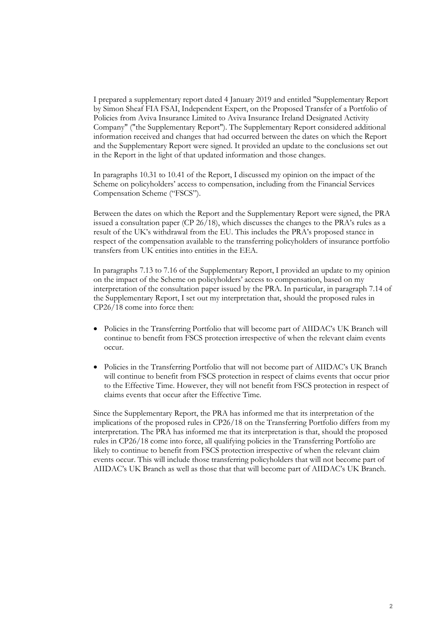I prepared a supplementary report dated 4 January 2019 and entitled "Supplementary Report by Simon Sheaf FIA FSAI, Independent Expert, on the Proposed Transfer of a Portfolio of Policies from Aviva Insurance Limited to Aviva Insurance Ireland Designated Activity Company" ("the Supplementary Report"). The Supplementary Report considered additional information received and changes that had occurred between the dates on which the Report and the Supplementary Report were signed. It provided an update to the conclusions set out in the Report in the light of that updated information and those changes.

In paragraphs 10.31 to 10.41 of the Report, I discussed my opinion on the impact of the Scheme on policyholders' access to compensation, including from the Financial Services Compensation Scheme ("FSCS").

Between the dates on which the Report and the Supplementary Report were signed, the PRA issued a consultation paper (CP 26/18), which discusses the changes to the PRA's rules as a result of the UK's withdrawal from the EU. This includes the PRA's proposed stance in respect of the compensation available to the transferring policyholders of insurance portfolio transfers from UK entities into entities in the EEA.

In paragraphs 7.13 to 7.16 of the Supplementary Report, I provided an update to my opinion on the impact of the Scheme on policyholders' access to compensation, based on my interpretation of the consultation paper issued by the PRA. In particular, in paragraph 7.14 of the Supplementary Report, I set out my interpretation that, should the proposed rules in CP26/18 come into force then:

- Policies in the Transferring Portfolio that will become part of AIIDAC's UK Branch will continue to benefit from FSCS protection irrespective of when the relevant claim events occur.
- Policies in the Transferring Portfolio that will not become part of AIIDAC's UK Branch will continue to benefit from FSCS protection in respect of claims events that occur prior to the Effective Time. However, they will not benefit from FSCS protection in respect of claims events that occur after the Effective Time.

Since the Supplementary Report, the PRA has informed me that its interpretation of the implications of the proposed rules in CP26/18 on the Transferring Portfolio differs from my interpretation. The PRA has informed me that its interpretation is that, should the proposed rules in CP26/18 come into force, all qualifying policies in the Transferring Portfolio are likely to continue to benefit from FSCS protection irrespective of when the relevant claim events occur. This will include those transferring policyholders that will not become part of AIIDAC's UK Branch as well as those that that will become part of AIIDAC's UK Branch.